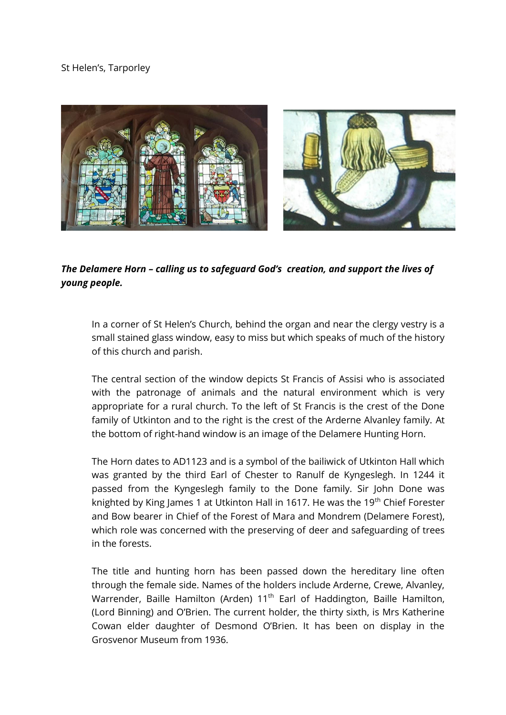## St Helen's, Tarporley



*The Delamere Horn – calling us to safeguard God's creation, and support the lives of young people.*

In a corner of St Helen's Church, behind the organ and near the clergy vestry is a small stained glass window, easy to miss but which speaks of much of the history of this church and parish.

The central section of the window depicts St Francis of Assisi who is associated with the patronage of animals and the natural environment which is very appropriate for a rural church. To the left of St Francis is the crest of the Done family of Utkinton and to the right is the crest of the Arderne Alvanley family. At the bottom of right-hand window is an image of the Delamere Hunting Horn.

The Horn dates to AD1123 and is a symbol of the bailiwick of Utkinton Hall which was granted by the third Earl of Chester to Ranulf de Kyngeslegh. In 1244 it passed from the Kyngeslegh family to the Done family. Sir John Done was knighted by King James 1 at Utkinton Hall in 1617. He was the 19<sup>th</sup> Chief Forester and Bow bearer in Chief of the Forest of Mara and Mondrem (Delamere Forest), which role was concerned with the preserving of deer and safeguarding of trees in the forests.

The title and hunting horn has been passed down the hereditary line often through the female side. Names of the holders include Arderne, Crewe, Alvanley, Warrender, Baille Hamilton (Arden) 11<sup>th</sup> Earl of Haddington, Baille Hamilton, (Lord Binning) and O'Brien. The current holder, the thirty sixth, is Mrs Katherine Cowan elder daughter of Desmond O'Brien. It has been on display in the Grosvenor Museum from 1936.